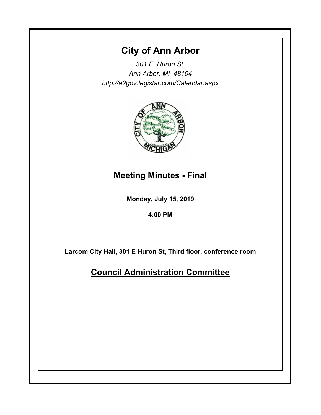# **City of Ann Arbor**

*301 E. Huron St. Ann Arbor, MI 48104 http://a2gov.legistar.com/Calendar.aspx*



# **Meeting Minutes - Final**

**Monday, July 15, 2019**

**4:00 PM**

**Larcom City Hall, 301 E Huron St, Third floor, conference room**

**Council Administration Committee**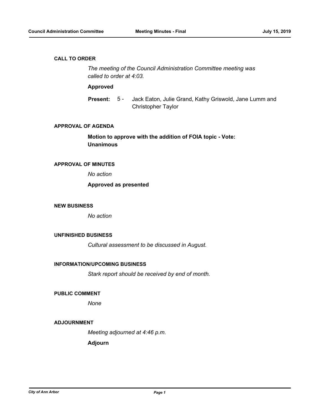### **CALL TO ORDER**

*The meeting of the Council Administration Committee meeting was called to order at 4:03.*

## **Approved**

Jack Eaton, Julie Grand, Kathy Griswold, Jane Lumm and Christopher Taylor **Present:** 5 -

#### **APPROVAL OF AGENDA**

**Motion to approve with the addition of FOIA topic - Vote: Unanimous**

# **APPROVAL OF MINUTES**

*No action*

## **Approved as presented**

#### **NEW BUSINESS**

*No action*

## **UNFINISHED BUSINESS**

*Cultural assessment to be discussed in August.*

### **INFORMATION/UPCOMING BUSINESS**

*Stark report should be received by end of month.*

#### **PUBLIC COMMENT**

*None*

### **ADJOURNMENT**

*Meeting adjourned at 4:46 p.m.*

**Adjourn**